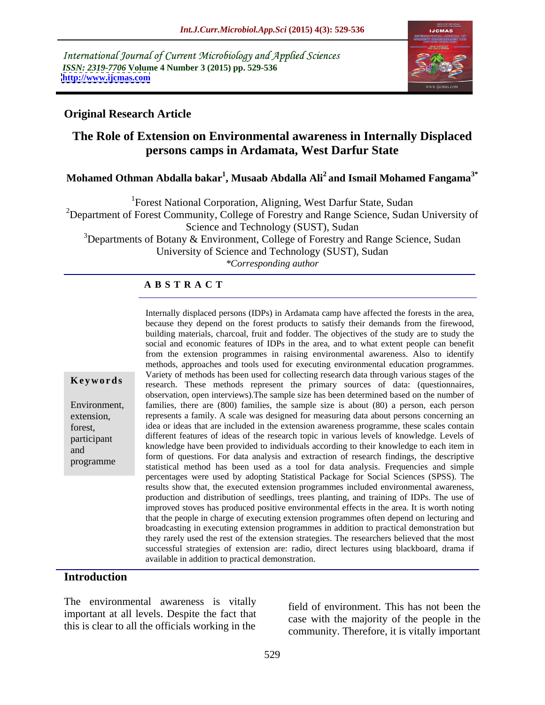International Journal of Current Microbiology and Applied Sciences *ISSN: 2319-7706* **Volume 4 Number 3 (2015) pp. 529-536 <http://www.ijcmas.com>**



## **Original Research Article**

# **The Role of Extension on Environmental awareness in Internally Displaced persons camps in Ardamata, West Darfur State**

# **Mohamed Othman Abdalla bakar1 , Musaab Abdalla Ali<sup>2</sup> and Ismail Mohamed Fangama3\***

<sup>1</sup>Forest National Corporation, Aligning, West Darfur State, Sudan

<sup>2</sup>Department of Forest Community, College of Forestry and Range Science, Sudan University of Science and Technology (SUST), Sudan

 $3$ Departments of Botany & Environment, College of Forestry and Range Science, Sudan University of Science and Technology (SUST), Sudan *\*Corresponding author*

## **A B S T R A C T**

building materials, charcoal, fruit and fodder. The objectives of the study are to study the social and economic features of IDPs in the area, and to what extent people can benefit from the extension programmes in raising environmental awareness. Also to identify methods, approaches and tools used for executing environmental education programmes.Variety of methods has been used for collecting research data through various stages of the research. These methods represent the primary sources of data: (questionnaires, **Ke ywo rds** observation, open interviews).The sample size has been determined based on the number of Environment, families, there are (800) families, the sample size is about (80) a person, each person extension, represents a family. A scale was designed for measuring data about persons concerning an idea or ideas that are included in the extension awareness programme, these scales contain forest, different features of ideas of the research topic in various levels of knowledge. Levels of participant knowledge have been provided to individuals according to their knowledge to each item in<br>and<br>the same form is formed to the later of the same formulation of the same of the same of the same of the same of the same of the s form of questions. For data analysis and extraction of research findings, the descriptive statistical method has been used as a tool for data analysis. Frequencies and simple percentages were used by adopting Statistical Package for Social Sciences (SPSS). The results show that, the executed extension programmes included environmental awareness, production and distribution of seedlings, trees planting, and training of IDPs. The use of improved stoves has produced positive environmental effects in the area. It is worth noting that the people in charge of executing extension programmes often depend on lecturing and broadcasting in executing extension programmes in addition to practical demonstration but they rarely used the rest of the extension strategies. The researchers believed that the most successful strategies of extension are: radio, direct lectures using blackboard, drama if available in addition to practical demonstration.

Internally displaced persons (IDPs) in Ardamata camp have affected the forests in the area, because they depend on the forest products to satisfy their demands from the firewood,

### **Introduction**

programme

The environmental awareness is vitally important at all levels. Despite the fact that this is clear to all the officials working in the

field of environment. This has not been the case with the majority of the people in the community. Therefore, it is vitally important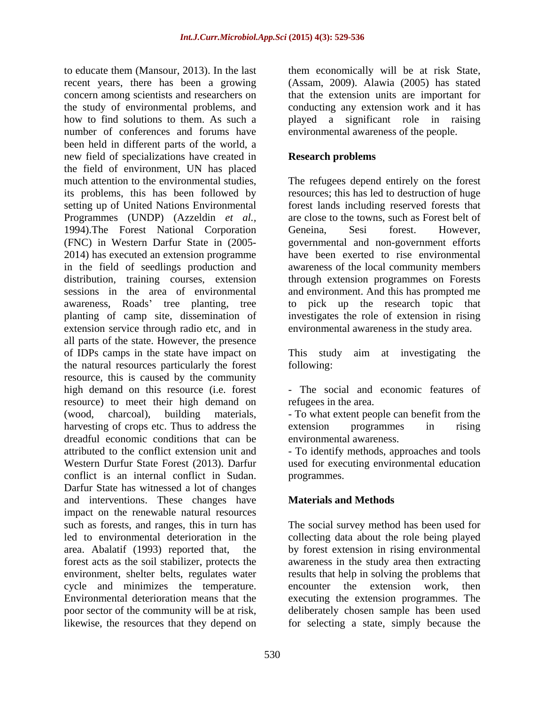recent years, there has been a growing (Assam, 2009). Alawia (2005) has stated concern among scientists and researchers on the study of environmental problems, and conducting any extension work and it has how to find solutions to them. As such a played a significant role in raising number of conferences and forums have been held in different parts of the world, a new field of specializations have created in the field of environment, UN has placed much attention to the environmental studies, The refugees depend entirely on the forest its problems, this has been followed by resources; this has led to destruction of huge setting up of United Nations Environmental forest lands including reserved forests that Programmes (UNDP) (Azzeldin *et al.,* 1994).The Forest National Corporation Geneina, Sesi forest. However, (FNC) in Western Darfur State in (2005- 2014) has executed an extension programme have been exerted to rise environmental in the field of seedlings production and awareness of the local community members distribution, training courses, extension through extension programmes on Forests sessions in the area of environmental awareness, Roads' tree planting, tree to planting of camp site, dissemination of investigates the role of extension in rising extension service through radio etc, and in all parts of the state. However, the presence of IDPs camps in the state have impact on This study aim at investigating the the natural resources particularly the forest resource, this is caused by the community high demand on this resource (i.e. forest - The social and economic features of resource) to meet their high demand on (wood, charcoal), building materials, - To what extent people can benefit from the harvesting of crops etc. Thus to address the extension programmes in rising dreadful economic conditions that can be attributed to the conflict extension unit and attributed to the conflict extension unit and - To identify methods, approaches and tools Western Durfur State Forest (2013). Darfur used for executing environmental education conflict is an internal conflict in Sudan. programmes.<br>Darfur State has witnessed a lot of changes and interventions. These changes have impact on the renewable natural resources such as forests, and ranges, this in turn has led to environmental deterioration in the collecting data about the role being played area. Abalatif (1993) reported that, the by forest extension in rising environmental forest acts as the soil stabilizer, protects the awareness in the study area then extracting environment, shelter belts, regulates water cycle and minimizes the temperature. encounter the extension work, then Environmental deterioration means that the executing the extension programmes. The poor sector of the community will be at risk, deliberately chosen sample has been used

to educate them (Mansour, 2013). In the last them economically will be at risk State, that the extension units are important for environmental awareness of the people.

## **Research problems**

are close to the towns, such as Forest belt of Geneina, Sesi forest. However, governmental and non-government efforts and environment. And this has prompted me pick up the research topic that environmental awareness in the study area.

This study aim at investigating the following: The state of the state of the state of the state of the state of the state of the state of the state of the state of the state of the state of the state of the state of the state of the state of the state of the

refugees in the area.

extension programmes in rising environmental awareness.

programmes.

# **Materials and Methods**

likewise, the resources that they depend on for selecting a state, simply because theThe social survey method has been used for results that help in solving the problems that encounter the extension work, then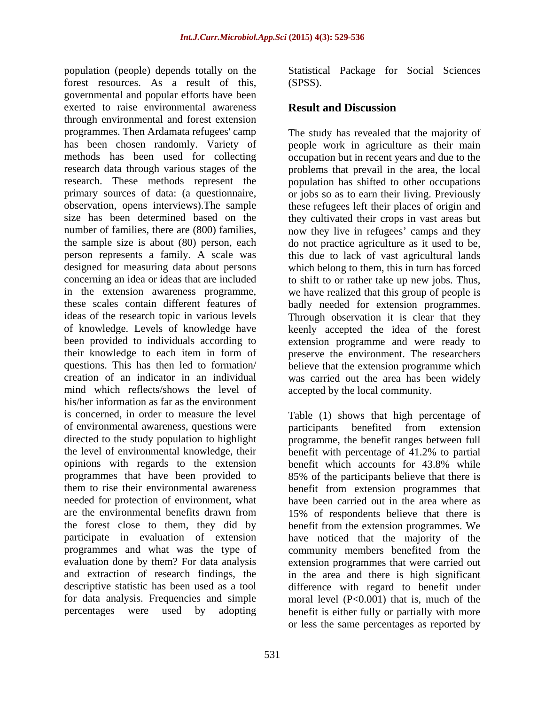population (people) depends totally on the Statistical Package for Social Sciences forest resources. As a result of this, (SPSS). governmental and popular efforts have been exerted to raise environmental awareness **Result and Discussion** through environmental and forest extension programmes. Then Ardamata refugees' camp The study has revealed that the majority of has been chosen randomly. Variety of people work in agriculture as their main methods has been used for collecting occupation but in recent years and due to the research data through various stages of the problems that prevail in the area, the local research. These methods represent the population has shifted to other occupations primary sources of data: (a questionnaire, or jobs so as to earn their living. Previously observation, opens interviews).The sample these refugees left their places of origin and size has been determined based on the they cultivated their crops in vast areas but number of families, there are (800) families, now they live in refugees' camps and they the sample size is about (80) person, each do not practice agriculture as it used to be, person represents a family. A scale was this due to lack of vast agricultural lands designed for measuring data about persons which belong to them, this in turn has forced concerning an idea or ideas that are included to shift to or rather take up new jobs. Thus, in the extension awareness programme, we have realized that this group of people is these scales contain different features of badly needed for extension programmes. ideas of the research topic in various levels Through observation it is clear that they of knowledge. Levels of knowledge have keenly accepted the idea of the forest been provided to individuals according to extension programme and were ready to their knowledge to each item in form of preserve the environment. The researchers questions. This has then led to formation/ believe that the extension programme which creation of an indicator in an individual was carried out the area has been widely mind which reflects/shows the level of his/her information as far as the environment is concerned, in order to measure the level Table (1) shows that high percentage of of environmental awareness, questions were participants benefited from extension directed to the study population to highlight programme, the benefit ranges between full the level of environmental knowledge, their benefit with percentage of 41.2% to partial opinions with regards to the extension benefit which accounts for 43.8% while programmes that have been provided to 85% of the participants believe that there is them to rise their environmental awareness benefit from extension programmes that needed for protection of environment, what have been carried out in the area where as are the environmental benefits drawn from 15% of respondents believe that there is the forest close to them, they did by benefit from the extension programmes. We participate in evaluation of extension programmes and what was the type of community members benefited from the evaluation done by them? For data analysis extension programmes that were carried out and extraction of research findings, the in the area and there is high significant descriptive statistic has been used as a tool difference with regard to benefit under for data analysis. Frequencies and simple moral level  $(P<0.001)$  that is, much of the

(SPSS).

# **Result and Discussion**

accepted by the local community.

percentages were used by adopting benefit is either fully or partially with more participants benefited from extension benefit which accounts for 43.8% while have noticed that the majority of the or less the same percentages as reported by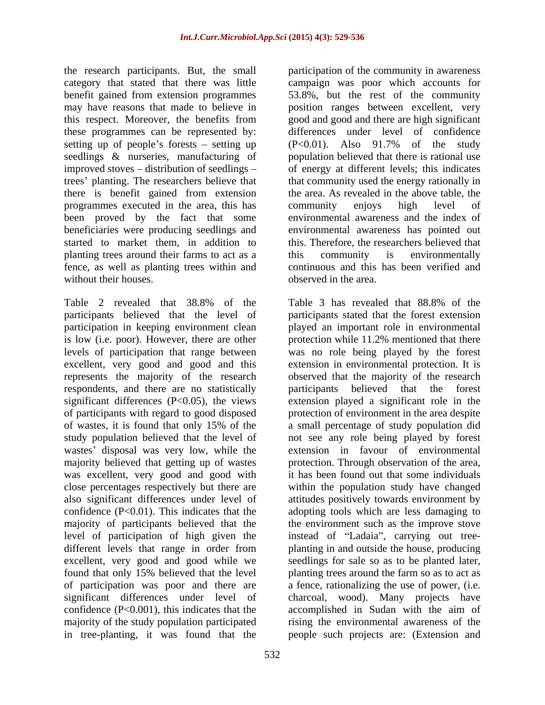the research participants. But, the small these programmes can be represented by: setting up of people's forests – setting up  $(P<0.01)$ . Also 91.7% of the study there is benefit gained from extension programmes executed in the area, this has community enjoys high level of beneficiaries were producing seedlings and planting trees around their farms to act as a this community is environmentally fence, as well as planting trees within and without their houses.

is low (i.e. poor). However, there are other protection while 11.2% mentioned that there levels of participation that range between represents the majority of the research<br>respondents, and there are no statistically<br>respondents believed that the respondents, and there are no statistically believed that the forest of participants with regard to good disposed wastes' disposal was very low, while the majority believed that getting up of wastes was excellent, very good and good with majority of the study population participated in tree-planting, it was found that the people such projects are: (Extension and

category that stated that there was little campaign was poor which accounts for benefit gained from extension programmes 53.8%, but the rest of the community may have reasons that made to believe in position ranges between excellent, very this respect. Moreover, the benefits from good and good and there arehigh significant seedlings & nurseries, manufacturing of population believed that there is rational use improved stoves – distribution of seedlings – of energy at different levels; this indicates trees' planting. The researchers believe that that community used the energy rationally in been proved by the fact that some environmental awareness and the index of started to market them, in addition to this. Therefore, the researchers believed that participation of the community in awareness differences under level of confidence (P<0.01). Also 91.7% of the study the area. As revealed in the above table, the community enjoys high level of environmental awareness has pointed out this community is environmentally continuous and this has been verified and observed in the area.

Table 2 revealed that 38.8% of the Table 3 has revealed that 88.8% of the participants believed that the level of participants stated that the forest extension participation in keeping environment clean played an important role in environmental excellent, very good and good and this extension in environmental protection. It is significant differences (P<0.05), the views extension played a significant role in the of wastes, it is found that only 15% of the a small percentage of study population did study population believed that the level of not see any role being played by forest close percentages respectively but there are within the population study have changed also significant differences under level of attitudes positively towards environment by confidence (P<0.01). This indicates that the adopting tools which are less damaging to majority of participants believed that the the environment such as the improve stove level of participation of high given the instead of "Ladaia", carrying out treedifferent levels that range in order from planting in and outside the house, producing excellent, very good and good while we seedlings for sale so as to be planted later, found that only 15% believed that the level planting trees around the farm so as to act as of participation was poor and there are a fence, rationalizing the use of power, (i.e. significant differences under level of charcoal, wood). Many projects have confidence (P<0.001), this indicates that the accomplished in Sudan with the aim of Table 3 has revealed that 88.8% of the protection while 11.2% mentioned that there was no role being played by the forest observed that the majority of the research participants believed that the forest protection of environment in the area despite extension in favour of environmental protection. Through observation of the area, it has been found out that some individuals rising the environmental awareness of the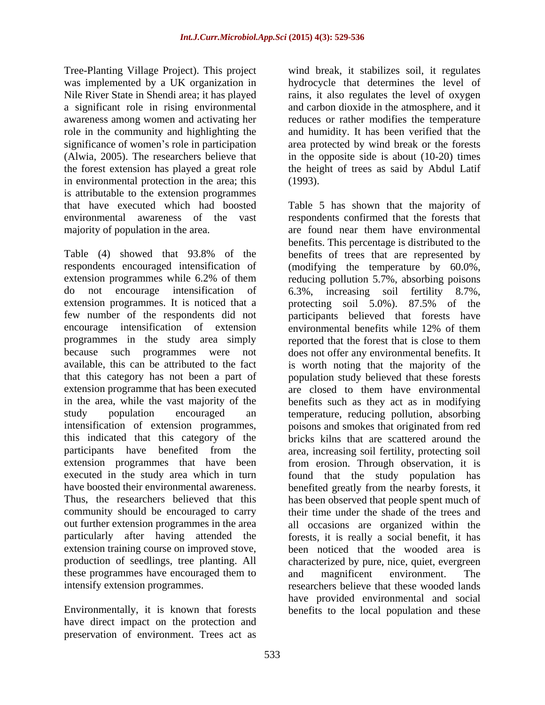Tree-Planting Village Project). This project wind break, it stabilizes soil, it regulates was implemented by a UK organization in Nile River State in Shendi area; it has played rains, it also regulates the level of oxygen a significant role in rising environmental and carbon dioxide in the atmosphere, and it awareness among women and activating her are reduces or rather modifies the temperature role in the community and highlighting the significance of women's role in participation significance of women's role in participation area protected by wind break or the forests (Alwia, 2005). The researchers believe that in the opposite side is about (10-20) times the forest extension has played a great role the height of trees as said by Abdul Latif in environmental protection in the area; this (1993). is attributable to the extension programmes

encourage intensification of extension programmes in the study area simply reported that the forest that is close to them executed in the study area which in turn these programmes have encouraged them to and magnificent environment. The

Environmentally, it is known that forests benefits to the local population and thesehave direct impact on the protection and preservation of environment. Trees act as

hydrocycle that determines the level of and humidity. It has been verified that the (1993).

that have executed which had boosted Table 5 has shown that the majority of environmental awareness of the vast respondents confirmed that the forests that majority of population in the area. are found near them have environmental Table (4) showed that 93.8% of the benefits of trees that are represented by respondents encouraged intensification of (modifying the temperature by 60.0%, extension programmes while 6.2% of them reducing pollution 5.7%, absorbing poisons do not encourage intensification of 6.3%, increasing soil fertility 8.7%, extension programmes. It is noticed that a protecting soil 5.0%). 87.5% of the few number of the respondents did not participants believed that forests have because such programmes were not does not offer any environmental benefits. It available, this can be attributed to the fact is worth noting that the majority of the that this category has not been a part of population study believed that these forests extension programme that has been executed are closed to them have environmental in the area, while the vast majority of the benefits such as they act as in modifying study population encouraged an temperature, reducing pollution, absorbing intensification of extension programmes, poisons and smokes that originated from red this indicated that this category of the bricks kilns that are scattered around the participants have benefited from the area, increasing soil fertility, protecting soil extension programmes that have been from erosion. Through observation, it is have boosted their environmental awareness. benefited greatly from the nearby forests, it Thus, the researchers believed that this has been observed that people spent much of community should be encouraged to carry their time under the shade of the trees and out further extension programmes in the area all occasions are organized within the particularly after having attended the forests, it is really a social benefit, it has extension training course on improved stove, been noticed that the wooded area is production of seedlings, tree planting. All characterized by pure, nice, quiet, evergreen intensify extension programmes. researchers believe that these wooded lands benefits. This percentage is distributed to the environmental benefits while 12% of them reported that the forest that is close to them found that the study population has and magnificent environment. The have provided environmental and social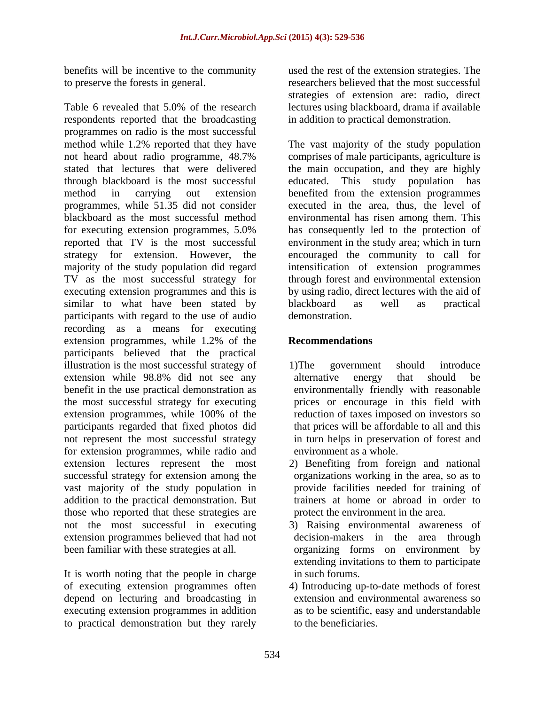benefits will be incentive to the community

Table 6 revealed that 5.0% of the research lectures using blackboard, drama if available respondents reported that the broadcasting programmes on radio is the most successful method while 1.2% reported that they have The vast majority of the study population not heard about radio programme, 48.7% comprises of male participants, agriculture is stated that lectures that were delivered the main occupation, and they are highly through blackboard is the most successful method in carrying out extension benefited from the extension programmes programmes, while 51.35 did not consider executed in the area, thus, the level of blackboard as the most successful method environmental has risen among them. This for executing extension programmes, 5.0% has consequently led to the protection of reported that TV is the most successful environment in the study area; which in turn strategy for extension. However, the encouraged the community to call for majority of the study population did regard intensification of extension programmes TV as the most successful strategy for through forest and environmental extension executing extension programmes and this is by using radio, direct lectures with the aid of similar to what have been stated by blackboard as well as practical participants with regard to the use of audio recording as a means for executing extension programmes, while 1.2% of the **Recommendations** participants believed that the practical illustration is the most successful strategy of 1) The government should introduce extension while 98.8% did not see any benefit in the use practical demonstration as the most successful strategy for executing extension programmes, while 100% of the reduction of taxes imposed on investors so participants regarded that fixed photos did not represent the most successful strategy for extension programmes, while radio and extension lectures represent the most successful strategy for extension among the vast majority of the study population in addition to the practical demonstration. But those who reported that these strategies are not the most successful in executing 3) Raising environmental awareness of extension programmes believed that had not been familiar with these strategies at all. organizing forms on environment by

It is worth noting that the people in charge of executing extension programmes often depend on lecturing and broadcasting in executing extension programmes in addition to practical demonstration but they rarely

to preserve the forests in general. researchers believed that the most successful used the rest of the extension strategies. The strategies of extension are: radio, direct in addition to practical demonstration.

> This study population has blackboard as well as practical demonstration.

# **Recommendations**

- 1)The government should introduce alternative energy that should be environmentally friendly with reasonable prices or encourage in this field with reduction of taxes imposed on investors so that prices will be affordable to all and this in turn helps in preservation of forest and environment as a whole.
- 2) Benefiting from foreign and national organizations working in the area, so as to provide facilities needed for training of trainers at home or abroad in order to protect the environment in the area.
- decision-makers in the area through extending invitations to them to participate in such forums.
- 4) Introducing up-to-date methods of forest extension and environmental awareness so as to be scientific, easy and understandable to the beneficiaries.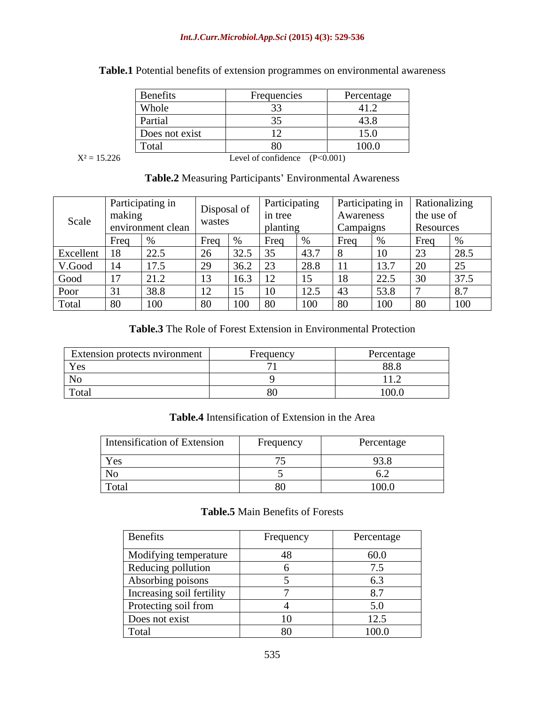#### *Int.J.Curr.Microbiol.App.Sci* **(2015) 4(3): 529-536**

| Benefits       | Frequencies                                      | Percentage                                       |
|----------------|--------------------------------------------------|--------------------------------------------------|
| Whole          |                                                  | $4 - 4$<br>41.4                                  |
| Partial        |                                                  | $\sim$<br>43.8                                   |
| Does not exist |                                                  | 15.0                                             |
| Total          |                                                  | 100.0                                            |
|                | $\sim$ $\sim$ $\sim$ $\sim$ $\sim$ $\sim$ $\sim$ | $\sim$ $\sim$ $\sim$ $\sim$ $\sim$ $\sim$ $\sim$ |

# **Table.1** Potential benefits of extension programmes on environmental awareness

 $X^2 = 15.226$  Level of confidence  $(P<0.001)$ 

# Table.2 Measuring Participants' Environmental Awareness

|                |                                    | Participating in                 | Jasposal |            |           |                   |           | Participating in | Rationalizing |            |
|----------------|------------------------------------|----------------------------------|----------|------------|-----------|-------------------|-----------|------------------|---------------|------------|
| Scale          | making                             |                                  | wastes   | $  -$      | in tree   |                   | Awareness |                  | the use of    |            |
|                |                                    | $\blacksquare$ environment clean |          |            |           |                   | Campaigns |                  | Resources     |            |
|                | l Freq                             |                                  |          |            |           |                   |           |                  | 'rea          |            |
| Excellent   18 |                                    |                                  |          | ۰۱۷۰       |           | 45.I              |           |                  |               |            |
| V.Good         |                                    | $\left  \cdot \right $           |          |            |           |                   |           |                  |               |            |
| Good           |                                    | $\sqrt{21.2}$                    |          |            |           |                   |           | ے ، کے سک        |               |            |
| Poor           |                                    | $\prec$ $\times$                 |          |            |           | $1 \angle . \cup$ |           |                  |               |            |
| Total          | 1.80 L<br>$\overline{\phantom{0}}$ | 1 VV.                            |          | <b>100</b> | <u>vv</u> | 100               | 1 80      | 100              |               | <b>TOO</b> |

## **Table.3** The Role of Forest Extension in Environmental Protection

| Extension protects nvironment | Frequency | Percentage   |
|-------------------------------|-----------|--------------|
| <b>L</b> UD                   |           | 00.0         |
|                               |           | . <i>. .</i> |
| I otal                        |           | 100.0        |

## **Table.4** Intensification of Extension in the Area

| Intensification of Extension | Frequency | Percentage     |
|------------------------------|-----------|----------------|
| $V \alpha$<br>工厂厂            |           | $\sim$<br>ノン・マ |
| $\mathbf{N}$ :<br>14 C       |           |                |
| Total                        |           | 100.0          |

### **Table.5** Main Benefits of Forests

| Benefits                  | Frequency | Percentage     |
|---------------------------|-----------|----------------|
| Modifying temperature     | 40.       | 60.0           |
| Reducing pollution        |           |                |
| Absorbing poisons         |           |                |
| Increasing soil fertility |           |                |
| Protecting soil from      |           |                |
| Does not exist            |           | $\sim$<br>⊥∠.J |
| Total                     | ΧL        | 100.0          |